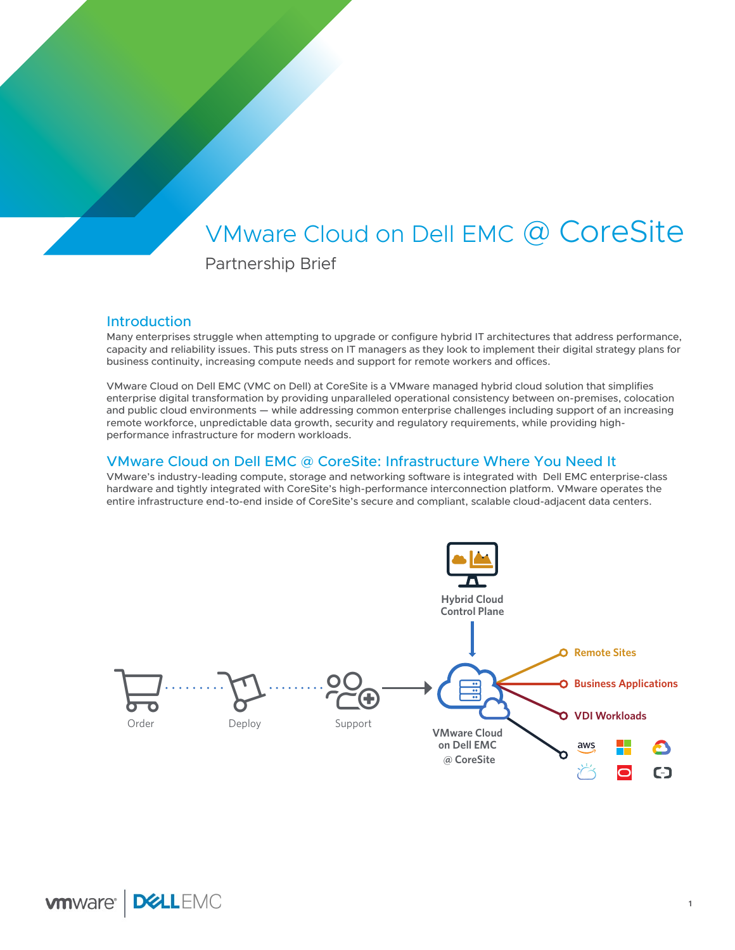# VMware Cloud on Dell EMC @ CoreSite

Partnership Brief

# Introduction

Many enterprises struggle when attempting to upgrade or configure hybrid IT architectures that address performance, capacity and reliability issues. This puts stress on IT managers as they look to implement their digital strategy plans for business continuity, increasing compute needs and support for remote workers and offices.

VMware Cloud on Dell EMC (VMC on Dell) at CoreSite is a VMware managed hybrid cloud solution that simplifies enterprise digital transformation by providing unparalleled operational consistency between on-premises, colocation and public cloud environments — while addressing common enterprise challenges including support of an increasing remote workforce, unpredictable data growth, security and regulatory requirements, while providing highperformance infrastructure for modern workloads.

### VMware Cloud on Dell EMC @ CoreSite: Infrastructure Where You Need It

VMware's industry-leading compute, storage and networking software is integrated with Dell EMC enterprise-class hardware and tightly integrated with CoreSite's high-performance interconnection platform. VMware operates the entire infrastructure end-to-end inside of CoreSite's secure and compliant, scalable cloud-adjacent data centers.

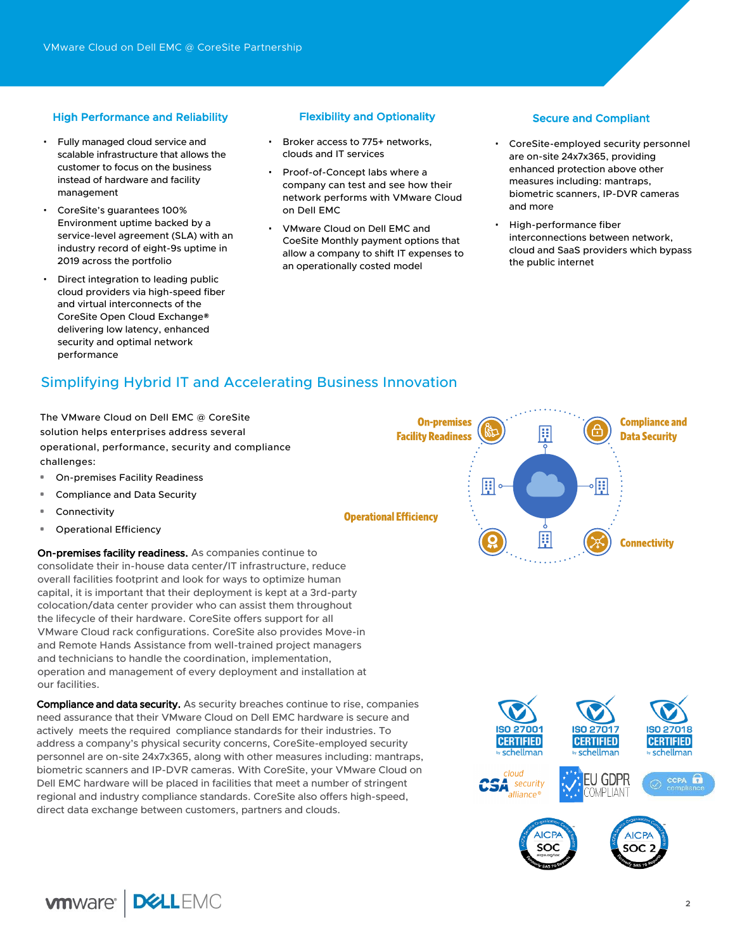### High Performance and Reliability **Flexibility and Optionality** Secure and Compliant

- Fully managed cloud service and scalable infrastructure that allows the customer to focus on the business instead of hardware and facility management
- CoreSite's guarantees 100% Environment uptime backed by a service-level agreement (SLA) with an industry record of eight-9s uptime in 2019 across the portfolio
- Direct integration to leading public cloud providers via high-speed fiber and virtual interconnects of the CoreSite Open Cloud Exchange® delivering low latency, enhanced security and optimal network performance

- Broker access to 775+ networks. clouds and IT services
- Proof-of-Concept labs where a company can test and see how their network performs with VMware Cloud on Dell EMC
- VMware Cloud on Dell EMC and CoeSite Monthly payment options that allow a company to shift IT expenses to an operationally costed model

- CoreSite-employed security personnel are on-site 24x7x365, providing enhanced protection above other measures including: mantraps, biometric scanners, IP-DVR cameras and more
- High-performance fiber interconnections between network, cloud and SaaS providers which bypass the public internet

# Simplifying Hybrid IT and Accelerating Business Innovation

The VMware Cloud on Dell EMC @ CoreSite solution helps enterprises address several operational, performance, security and compliance challenges:

- **•** On-premises Facility Readiness
- **•** Compliance and Data Security
- **•** Connectivity
- **•** Operational Efficiency

On-premises facility readiness. As companies continue to consolidate their in-house data center/IT infrastructure, reduce overall facilities footprint and look for ways to optimize human capital, it is important that their deployment is kept at a 3rd-party colocation/data center provider who can assist them throughout the lifecycle of their hardware. CoreSite offers support for all VMware Cloud rack configurations. CoreSite also provides Move-in and Remote Hands Assistance from well-trained project managers and technicians to handle the coordination, implementation, operation and management of every deployment and installation at our facilities.

Compliance and data security. As security breaches continue to rise, companies need assurance that their VMware Cloud on Dell EMC hardware is secure and actively meets the required compliance standards for their industries. To address a company's physical security concerns, CoreSite-employed security personnel are on-site 24x7x365, along with other measures including: mantraps, biometric scanners and IP-DVR cameras. With CoreSite, your VMware Cloud on Dell EMC hardware will be placed in facilities that meet a number of stringent regional and industry compliance standards. CoreSite also offers high-speed, direct data exchange between customers, partners and clouds.